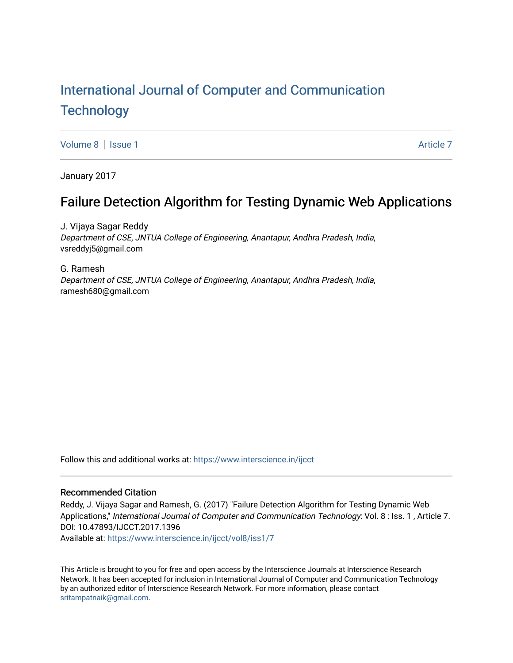# [International Journal of Computer and Communication](https://www.interscience.in/ijcct)  **Technology**

[Volume 8](https://www.interscience.in/ijcct/vol8) | [Issue 1](https://www.interscience.in/ijcct/vol8/iss1) [Article 7](https://www.interscience.in/ijcct/vol8/iss1/7) Article 7 Article 7 Article 7 Article 7 Article 7 Article 7 Article 7 Article 7 Article 7

January 2017

## Failure Detection Algorithm for Testing Dynamic Web Applications

J. Vijaya Sagar Reddy Department of CSE, JNTUA College of Engineering, Anantapur, Andhra Pradesh, India, vsreddyj5@gmail.com

G. Ramesh Department of CSE, JNTUA College of Engineering, Anantapur, Andhra Pradesh, India, ramesh680@gmail.com

Follow this and additional works at: [https://www.interscience.in/ijcct](https://www.interscience.in/ijcct?utm_source=www.interscience.in%2Fijcct%2Fvol8%2Fiss1%2F7&utm_medium=PDF&utm_campaign=PDFCoverPages)

## Recommended Citation

Reddy, J. Vijaya Sagar and Ramesh, G. (2017) "Failure Detection Algorithm for Testing Dynamic Web Applications," International Journal of Computer and Communication Technology: Vol. 8 : Iss. 1 , Article 7. DOI: 10.47893/IJCCT.2017.1396 Available at: [https://www.interscience.in/ijcct/vol8/iss1/7](https://www.interscience.in/ijcct/vol8/iss1/7?utm_source=www.interscience.in%2Fijcct%2Fvol8%2Fiss1%2F7&utm_medium=PDF&utm_campaign=PDFCoverPages)

This Article is brought to you for free and open access by the Interscience Journals at Interscience Research Network. It has been accepted for inclusion in International Journal of Computer and Communication Technology by an authorized editor of Interscience Research Network. For more information, please contact [sritampatnaik@gmail.com](mailto:sritampatnaik@gmail.com).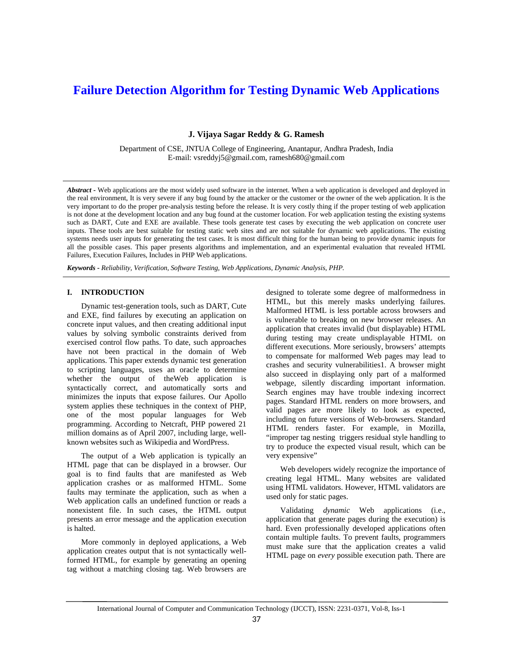## **Failure Detection Algorithm for Testing Dynamic Web Applications**

**J. Vijaya Sagar Reddy & G. Ramesh**

Department of CSE, JNTUA College of Engineering, Anantapur, Andhra Pradesh, India E-mail: vsreddyj5@gmail.com, ramesh680@gmail.com

*Abstract* **-** Web applications are the most widely used software in the internet. When a web application is developed and deployed in the real environment, It is very severe if any bug found by the attacker or the customer or the owner of the web application. It is the very important to do the proper pre-analysis testing before the release. It is very costly thing if the proper testing of web application is not done at the development location and any bug found at the customer location. For web application testing the existing systems such as DART, Cute and EXE are available. These tools generate test cases by executing the web application on concrete user inputs. These tools are best suitable for testing static web sites and are not suitable for dynamic web applications. The existing systems needs user inputs for generating the test cases. It is most difficult thing for the human being to provide dynamic inputs for all the possible cases. This paper presents algorithms and implementation, and an experimental evaluation that revealed HTML Failures, Execution Failures, Includes in PHP Web applications.

*Keywords* **-** *Reliability, Verification, Software Testing, Web Applications, Dynamic Analysis, PHP.*

#### **I. INTRODUCTION**

 Dynamic test-generation tools, such as DART, Cute and EXE, find failures by executing an application on concrete input values, and then creating additional input values by solving symbolic constraints derived from exercised control flow paths. To date, such approaches have not been practical in the domain of Web applications. This paper extends dynamic test generation to scripting languages, uses an oracle to determine whether the output of theWeb application is syntactically correct, and automatically sorts and minimizes the inputs that expose failures. Our Apollo system applies these techniques in the context of PHP, one of the most popular languages for Web programming. According to Netcraft, PHP powered 21 million domains as of April 2007, including large, wellknown websites such as Wikipedia and WordPress.

 The output of a Web application is typically an HTML page that can be displayed in a browser. Our goal is to find faults that are manifested as Web application crashes or as malformed HTML. Some faults may terminate the application, such as when a Web application calls an undefined function or reads a nonexistent file. In such cases, the HTML output presents an error message and the application execution is halted.

 More commonly in deployed applications, a Web application creates output that is not syntactically wellformed HTML, for example by generating an opening tag without a matching closing tag. Web browsers are designed to tolerate some degree of malformedness in HTML, but this merely masks underlying failures. Malformed HTML is less portable across browsers and is vulnerable to breaking on new browser releases. An application that creates invalid (but displayable) HTML during testing may create undisplayable HTML on different executions. More seriously, browsers' attempts to compensate for malformed Web pages may lead to crashes and security vulnerabilities1. A browser might also succeed in displaying only part of a malformed webpage, silently discarding important information. Search engines may have trouble indexing incorrect pages. Standard HTML renders on more browsers, and valid pages are more likely to look as expected, including on future versions of Web-browsers. Standard HTML renders faster. For example, in Mozilla, "improper tag nesting triggers residual style handling to try to produce the expected visual result, which can be very expensive"

 Web developers widely recognize the importance of creating legal HTML. Many websites are validated using HTML validators. However, HTML validators are used only for static pages.

 Validating *dynamic* Web applications (i.e., application that generate pages during the execution) is hard. Even professionally developed applications often contain multiple faults. To prevent faults, programmers must make sure that the application creates a valid HTML page on *every* possible execution path. There are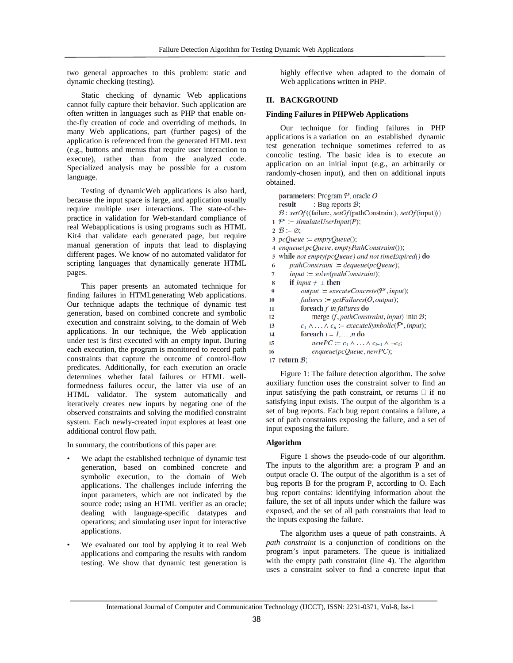two general approaches to this problem: static and dynamic checking (testing).

 Static checking of dynamic Web applications cannot fully capture their behavior. Such application are often written in languages such as PHP that enable onthe-fly creation of code and overriding of methods. In many Web applications, part (further pages) of the application is referenced from the generated HTML text (e.g., buttons and menus that require user interaction to execute), rather than from the analyzed code. Specialized analysis may be possible for a custom language.

 Testing of dynamicWeb applications is also hard, because the input space is large, and application usually require multiple user interactions. The state-of-thepractice in validation for Web-standard compliance of real Webapplications is using programs such as HTML Kit4 that validate each generated page, but require manual generation of inputs that lead to displaying different pages. We know of no automated validator for scripting languages that dynamically generate HTML pages.

 This paper presents an automated technique for finding failures in HTMLgenerating Web applications. Our technique adapts the technique of dynamic test generation, based on combined concrete and symbolic execution and constraint solving, to the domain of Web applications. In our technique, the Web application under test is first executed with an empty input. During each execution, the program is monitored to record path constraints that capture the outcome of control-flow predicates. Additionally, for each execution an oracle determines whether fatal failures or HTML wellformedness failures occur, the latter via use of an HTML validator. The system automatically and iteratively creates new inputs by negating one of the observed constraints and solving the modified constraint system. Each newly-created input explores at least one additional control flow path.

In summary, the contributions of this paper are:

- We adapt the established technique of dynamic test generation, based on combined concrete and symbolic execution, to the domain of Web applications. The challenges include inferring the input parameters, which are not indicated by the source code; using an HTML verifier as an oracle; dealing with language-specific datatypes and operations; and simulating user input for interactive applications.
- We evaluated our tool by applying it to real Web applications and comparing the results with random testing. We show that dynamic test generation is

highly effective when adapted to the domain of Web applications written in PHP.

#### **II. BACKGROUND**

#### **Finding Failures in PHPWeb Applications**

 Our technique for finding failures in PHP applications is a variation on an established dynamic test generation technique sometimes referred to as concolic testing. The basic idea is to execute an application on an initial input (e.g., an arbitrarily or randomly-chosen input), and then on additional inputs obtained.

```
parameters: Program P, oracle O: Bug reports \mathcal{B};
    result
    B: setOf(\langle failure, setOf(pathConstructin), setOf(input))1 P' := \text{simulateUserInput}(P);
 2 \mathcal{B} \coloneqq \emptyset:
 3 pcOueue := emptyOueue();
 4 enqueue(pcQueue, emptyPathConstraint());
 5 while not empty(pcQueue) and not timeExpired() do
        pathConstruct := degueue(pcQueue);6
        input := solve(pathConstructin t);\overline{7}8
        if input \neq \perp then
 \bf{o}output := executeConcrete(P', input);10
            failures := getFailures(O, output);foreach f in failures do
11
12merge \langle f, pathConstraint, input \rangle into B;
13
             c_1 \wedge \ldots \wedge c_n := executeSymbolic(P', input);
14foreach i = 1, \ldots, n do
15
                 newPC := c_1 \wedge \ldots \wedge c_{i-1} \wedge \neg c_i;enqueue(pcQueue, newPC);16
17 return \mathcal{B};
```
 Figure 1: The failure detection algorithm. The *solve*  auxiliary function uses the constraint solver to find an input satisfying the path constraint, or returns  $\Box$  if no satisfying input exists. The output of the algorithm is a set of bug reports. Each bug report contains a failure, a set of path constraints exposing the failure, and a set of input exposing the failure.

#### **Algorithm**

 Figure 1 shows the pseudo-code of our algorithm. The inputs to the algorithm are: a program P and an output oracle O. The output of the algorithm is a set of bug reports B for the program P, according to O. Each bug report contains: identifying information about the failure, the set of all inputs under which the failure was exposed, and the set of all path constraints that lead to the inputs exposing the failure.

 The algorithm uses a queue of path constraints. A *path constraint* is a conjunction of conditions on the program's input parameters. The queue is initialized with the empty path constraint (line 4). The algorithm uses a constraint solver to find a concrete input that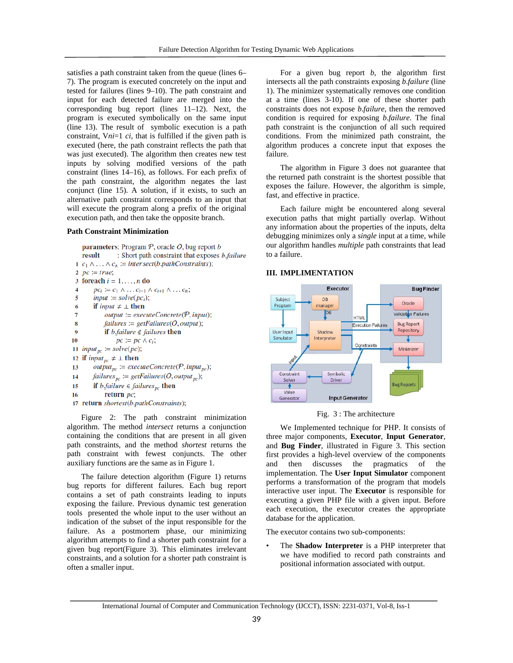satisfies a path constraint taken from the queue (lines 6– 7). The program is executed concretely on the input and tested for failures (lines 9–10). The path constraint and input for each detected failure are merged into the corresponding bug report (lines 11–12). Next, the program is executed symbolically on the same input (line 13). The result of symbolic execution is a path constraint, V*ni*=1 *ci*, that is fulfilled if the given path is executed (here, the path constraint reflects the path that was just executed). The algorithm then creates new test inputs by solving modified versions of the path constraint (lines 14–16), as follows. For each prefix of the path constraint, the algorithm negates the last conjunct (line 15). A solution, if it exists, to such an alternative path constraint corresponds to an input that will execute the program along a prefix of the original execution path, and then take the opposite branch.

#### **Path Constraint Minimization**

```
parameters: Program P, oracle O, bug report b: Short path constraint that exposes b.failure
    result
 1 c_1 \wedge \ldots \wedge c_n := intersect(b.pathConstraints);
 2 pc := true;3 foreach i = 1, \ldots, n do
         pc_i := c_1 \wedge \ldots c_{i-1} \wedge c_{i+1} \wedge \ldots c_n;\overline{4}\overline{\phantom{a}}input := solve(pc_i);if input \neq \bot then
 6
              output := executeConcrete(P, input);\overline{7}8
              failures := getFailures(O, output);if b.failure \notin failures then
\boldsymbol{0}pc \coloneqq pc \wedge c_i;10
11 input<sub>pc</sub> := solve(pc);
12 if input_{pc} \neq \bot then
13output_{pc} := executeConcrete(\mathcal{P}, input_{pc});14failures_{pc} := getFailures(O, output_{pc});if b.failure \in failures<sub>pc</sub> then
15
              return pc;
16
17 return shortest(b.pathConstraints);
```
 Figure 2: The path constraint minimization algorithm. The method *intersect* returns a conjunction containing the conditions that are present in all given path constraints, and the method *shortest* returns the path constraint with fewest conjuncts. The other auxiliary functions are the same as in Figure 1.

 The failure detection algorithm (Figure 1) returns bug reports for different failures. Each bug report contains a set of path constraints leading to inputs exposing the failure. Previous dynamic test generation tools presented the whole input to the user without an indication of the subset of the input responsible for the failure. As a postmortem phase, our minimizing algorithm attempts to find a shorter path constraint for a given bug report(Figure 3). This eliminates irrelevant constraints, and a solution for a shorter path constraint is often a smaller input.

 For a given bug report *b*, the algorithm first intersects all the path constraints exposing *b*.*failure* (line 1). The minimizer systematically removes one condition at a time (lines 3-10). If one of these shorter path constraints does not expose *b*.*failure*, then the removed condition is required for exposing *b*.*failure*. The final path constraint is the conjunction of all such required conditions. From the minimized path constraint, the algorithm produces a concrete input that exposes the failure.

 The algorithm in Figure 3 does not guarantee that the returned path constraint is the shortest possible that exposes the failure. However, the algorithm is simple, fast, and effective in practice.

 Each failure might be encountered along several execution paths that might partially overlap. Without any information about the properties of the inputs, delta debugging minimizes only a *single* input at a time, while our algorithm handles *multiple* path constraints that lead to a failure.

## **III. IMPLIMENTATION**



#### Fig. 3 : The architecture

 We Implemented technique for PHP. It consists of three major components, **Executor**, **Input Generator**, and **Bug Finder**, illustrated in Figure 3. This section first provides a high-level overview of the components and then discusses the pragmatics of the implementation. The **User Input Simulator** component performs a transformation of the program that models interactive user input. The **Executor** is responsible for executing a given PHP file with a given input. Before each execution, the executor creates the appropriate database for the application.

The executor contains two sub-components:

• The **Shadow Interpreter** is a PHP interpreter that we have modified to record path constraints and positional information associated with output.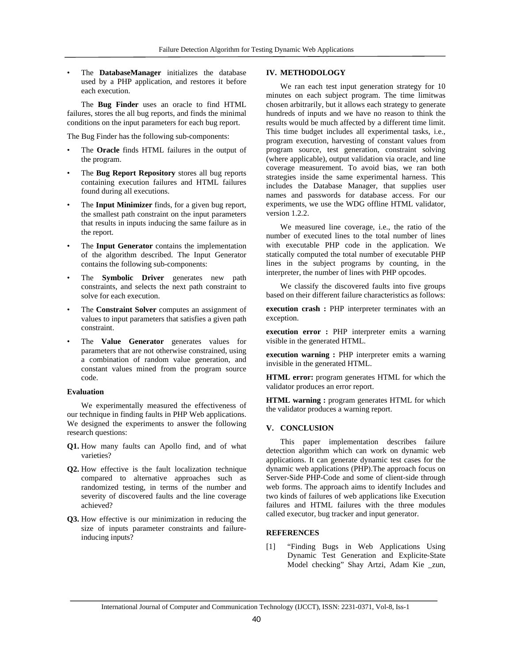• The **DatabaseManager** initializes the database used by a PHP application, and restores it before each execution.

 The **Bug Finder** uses an oracle to find HTML failures, stores the all bug reports, and finds the minimal conditions on the input parameters for each bug report.

The Bug Finder has the following sub-components:

- The **Oracle** finds HTML failures in the output of the program.
- The **Bug Report Repository** stores all bug reports containing execution failures and HTML failures found during all executions.
- The **Input Minimizer** finds, for a given bug report, the smallest path constraint on the input parameters that results in inputs inducing the same failure as in the report.
- The Input Generator contains the implementation of the algorithm described. The Input Generator contains the following sub-components:
- The **Symbolic Driver** generates new path constraints, and selects the next path constraint to solve for each execution.
- The **Constraint Solver** computes an assignment of values to input parameters that satisfies a given path constraint.
- The **Value Generator** generates values for parameters that are not otherwise constrained, using a combination of random value generation, and constant values mined from the program source code.

#### **Evaluation**

 We experimentally measured the effectiveness of our technique in finding faults in PHP Web applications. We designed the experiments to answer the following research questions:

- **Q1.** How many faults can Apollo find, and of what varieties?
- **Q2.** How effective is the fault localization technique compared to alternative approaches such as randomized testing, in terms of the number and severity of discovered faults and the line coverage achieved?
- **Q3.** How effective is our minimization in reducing the size of inputs parameter constraints and failureinducing inputs?

#### **IV. METHODOLOGY**

 We ran each test input generation strategy for 10 minutes on each subject program. The time limitwas chosen arbitrarily, but it allows each strategy to generate hundreds of inputs and we have no reason to think the results would be much affected by a different time limit. This time budget includes all experimental tasks, i.e., program execution, harvesting of constant values from program source, test generation, constraint solving (where applicable), output validation via oracle, and line coverage measurement. To avoid bias, we ran both strategies inside the same experimental harness. This includes the Database Manager, that supplies user names and passwords for database access. For our experiments, we use the WDG offline HTML validator, version 1.2.2.

 We measured line coverage, i.e., the ratio of the number of executed lines to the total number of lines with executable PHP code in the application. We statically computed the total number of executable PHP lines in the subject programs by counting, in the interpreter, the number of lines with PHP opcodes.

 We classify the discovered faults into five groups based on their different failure characteristics as follows:

**execution crash :** PHP interpreter terminates with an exception.

**execution error :** PHP interpreter emits a warning visible in the generated HTML.

**execution warning :** PHP interpreter emits a warning invisible in the generated HTML.

**HTML error:** program generates HTML for which the validator produces an error report.

**HTML warning :** program generates HTML for which the validator produces a warning report.

### **V. CONCLUSION**

 This paper implementation describes failure detection algorithm which can work on dynamic web applications. It can generate dynamic test cases for the dynamic web applications (PHP).The approach focus on Server-Side PHP-Code and some of client-side through web forms. The approach aims to identify Includes and two kinds of failures of web applications like Execution failures and HTML failures with the three modules called executor, bug tracker and input generator.

#### **REFERENCES**

[1] "Finding Bugs in Web Applications Using Dynamic Test Generation and Explicite-State Model checking" Shay Artzi, Adam Kie \_zun,